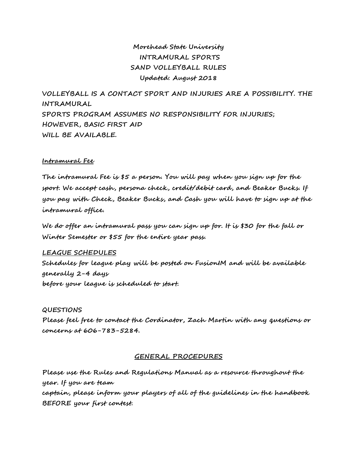# **Morehead State University INTRAMURAL SPORTS SAND VOLLEYBALL RULES Updated: August 2018**

**VOLLEYBALL IS A CONTACT SPORT AND INJURIES ARE A POSSIBILITY. THE INTRAMURAL SPORTS PROGRAM ASSUMES NO RESPONSIBILITY FOR INJURIES; HOWEVER, BASIC FIRST AID WILL BE AVAILABLE.**

## **Intramural Fee**

**The intramural Fee is \$5 a person. You will pay when you sign up for the sport. We accept cash, persona check, credit/debit card, and Beaker Bucks. If you pay with Check, Beaker Bucks, and Cash you will have to sign up at the intramural office.** 

**We do offer an intramural pass you can sign up for. It is \$30 for the fall or Winter Semester or \$55 for the entire year pass.** 

# **LEAGUE SCHEDULES**

**Schedules for league play will be posted on FusionIM and will be available generally 2-4 days before your league is scheduled to start.**

# **QUESTIONS**

**Please feel free to contact the Cordinator, Zach Martin with any questions or concerns at 606-783-5284.**

#### **GENERAL PROCEDURES**

**Please use the Rules and Regulations Manual as a resource throughout the year. If you are team**

**captain, please inform your players of all of the guidelines in the handbook BEFORE your first contest.**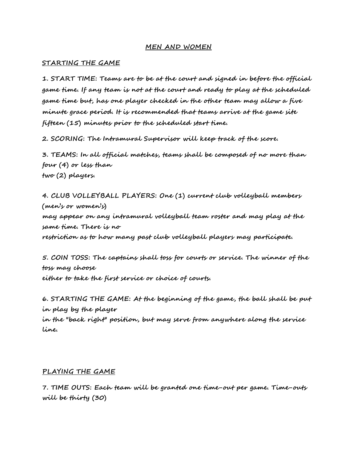## **MEN AND WOMEN**

### **STARTING THE GAME**

**1. START TIME: Teams are to be at the court and signed in before the official game time. If any team is not at the court and ready to play at the scheduled game time but, has one player checked in the other team may allow a five minute grace period. It is recommended that teams arrive at the game site fifteen (15) minutes prior to the scheduled start time.** 

**2. SCORING: The Intramural Supervisor will keep track of the score.**

**3. TEAMS: In all official matches, teams shall be composed of no more than four (4) or less than two (2) players.**

**4. CLUB VOLLEYBALL PLAYERS: One (1) current club volleyball members (men's or women's) may appear on any intramural volleyball team roster and may play at the same time. There is no restriction as to how many past club volleyball players may participate.**

**5. COIN TOSS: The captains shall toss for courts or service. The winner of the toss may choose either to take the first service or choice of courts.**

**6. STARTING THE GAME: At the beginning of the game, the ball shall be put in play by the player**

**in the "back right" position, but may serve from anywhere along the service line.**

#### **PLAYING THE GAME**

**7. TIME OUTS: Each team will be granted one time-out per game. Time-outs will be thirty (30)**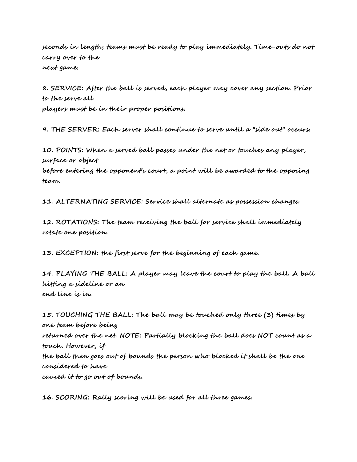**seconds in length; teams must be ready to play immediately. Time-outs do not carry over to the next game.**

**8. SERVICE: After the ball is served, each player may cover any section. Prior to the serve all players must be in their proper positions.**

**9. THE SERVER: Each server shall continue to serve until a "side out" occurs.**

**10. POINTS: When a served ball passes under the net or touches any player, surface or object**

**before entering the opponent's court, a point will be awarded to the opposing team.**

**11. ALTERNATING SERVICE: Service shall alternate as possession changes.**

**12. ROTATIONS: The team receiving the ball for service shall immediately rotate one position.**

**13. EXCEPTION: the first serve for the beginning of each game.**

**14. PLAYING THE BALL: A player may leave the court to play the ball. A ball hitting a sideline or an end line is in.**

**15. TOUCHING THE BALL: The ball may be touched only three (3) times by one team before being returned over the net. NOTE: Partially blocking the ball does NOT count as a touch. However, if the ball then goes out of bounds the person who blocked it shall be the one considered to have caused it to go out of bounds.**

**16. SCORING: Rally scoring will be used for all three games.**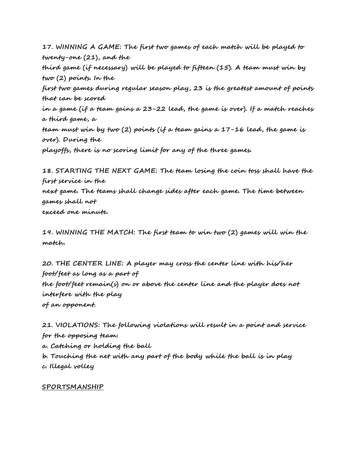**17. WINNING A GAME: The first two games of each match will be played to twenty-one (21), and the third game (if necessary) will be played to fifteen (15). A team must win by two (2) points. In the first two games during regular season play, 23 is the greatest amount of points that can be scored in a game (if a team gains a 23-22 lead, the game is over). If a match reaches a third game, a team must win by two (2) points (if a team gains a 17-16 lead, the game is over). During the playoffs, there is no scoring limit for any of the three games.**

**18. STARTING THE NEXT GAME: The team losing the coin toss shall have the first service in the next game. The teams shall change sides after each game. The time between games shall not exceed one minute.**

**19. WINNING THE MATCH: The first team to win two (2) games will win the match.**

**20. THE CENTER LINE: A player may cross the center line with his/her foot/feet as long as a part of the foot/feet remain(s) on or above the center line and the player does not interfere with the play of an opponent.**

**21. VIOLATIONS: The following violations will result in a point and service for the opposing team: a. Catching or holding the ball b. Touching the net with any part of the body while the ball is in play c. Illegal volley**

# **SPORTSMANSHIP**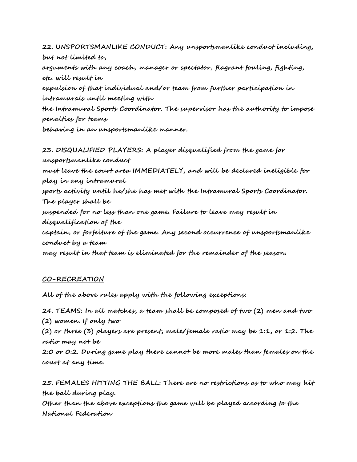**22. UNSPORTSMANLIKE CONDUCT: Any unsportsmanlike conduct including, but not limited to, arguments with any coach, manager or spectator, flagrant fouling, fighting, etc. will result in expulsion of that individual and/or team from further participation in intramurals until meeting with the Intramural Sports Coordinator. The supervisor has the authority to impose penalties for teams behaving in an unsportsmanlike manner.**

**23. DISQUALIFIED PLAYERS: A player disqualified from the game for unsportsmanlike conduct must leave the court area IMMEDIATELY, and will be declared ineligible for play in any intramural sports activity until he/she has met with the Intramural Sports Coordinator. The player shall be suspended for no less than one game. Failure to leave may result in disqualification of the captain, or forfeiture of the game. Any second occurrence of unsportsmanlike conduct by a team may result in that team is eliminated for the remainder of the season.**

# **CO-RECREATION**

**All of the above rules apply with the following exceptions:**

**24. TEAMS: In all matches, a team shall be composed of two (2) men and two (2) women. If only two**

**(2) or three (3) players are present, male/female ratio may be 1:1, or 1:2. The** 

**ratio may not be**

**2:0 or 0:2. During game play there cannot be more males than females on the court at any time.**

**25. FEMALES HITTING THE BALL: There are no restrictions as to who may hit the ball during play. Other than the above exceptions the game will be played according to the National Federation**